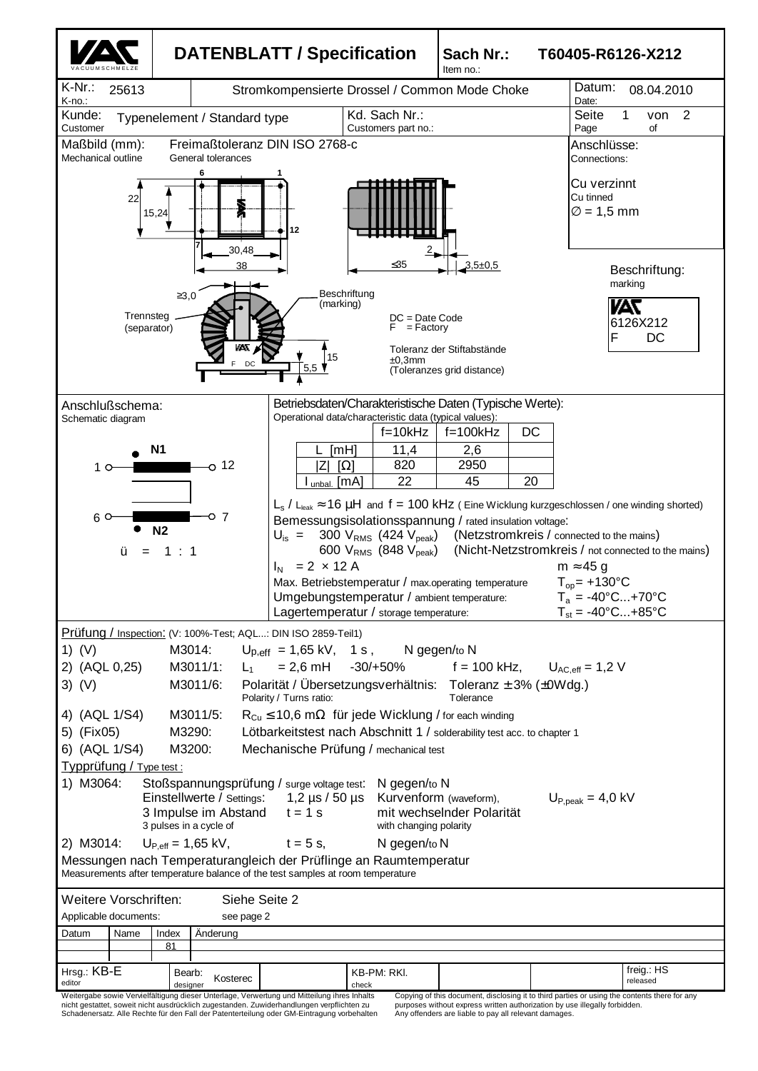

nicht gestattet, soweit nicht ausdrücklich zugestanden. Zuwiderhandlungen verpflichten zu Schadenersatz. Alle Rechte für den Fall der Patenterteilung oder GM-Eintragung vorbehalten

purposes without express written authorization by use illegally forbidden. Any offenders are liable to pay all relevant damages.